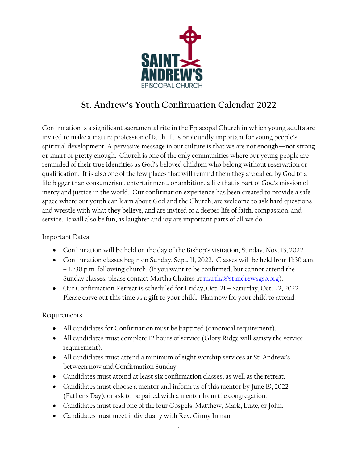

# **St. Andrew's Youth Confirmation Calendar 2022**

Confirmation is a significant sacramental rite in the Episcopal Church in which young adults are invited to make a mature profession of faith. It is profoundly important for young people's spiritual development. A pervasive message in our culture is that we are not enough—not strong or smart or pretty enough. Church is one of the only communities where our young people are reminded of their true identities as God's beloved children who belong without reservation or qualification. It is also one of the few places that will remind them they are called by God to a life bigger than consumerism, entertainment, or ambition, a life that is part of God's mission of mercy and justice in the world. Our confirmation experience has been created to provide a safe space where our youth can learn about God and the Church, are welcome to ask hard questions and wrestle with what they believe, and are invited to a deeper life of faith, compassion, and service. It will also be fun, as laughter and joy are important parts of all we do.

#### Important Dates

- Confirmation will be held on the day of the Bishop's visitation, Sunday, Nov. 13, 2022.
- Confirmation classes begin on Sunday, Sept. 11, 2022. Classes will be held from 11:30 a.m. – 12:30 p.m. following church. (If you want to be confirmed, but cannot attend the Sunday classes, please contact Martha Chaires at [martha@standrewsgso.org\)](mailto:martha@standrewsgso.org).
- Our Confirmation Retreat is scheduled for Friday, Oct. 21 Saturday, Oct. 22, 2022. Please carve out this time as a gift to your child. Plan now for your child to attend.

#### Requirements

- All candidates for Confirmation must be baptized (canonical requirement).
- All candidates must complete 12 hours of service (Glory Ridge will satisfy the service requirement).
- All candidates must attend a minimum of eight worship services at St. Andrew's between now and Confirmation Sunday.
- Candidates must attend at least six confirmation classes, as well as the retreat.
- Candidates must choose a mentor and inform us of this mentor by June 19, 2022 (Father's Day), or ask to be paired with a mentor from the congregation.
- Candidates must read one of the four Gospels: Matthew, Mark, Luke, or John.
- Candidates must meet individually with Rev. Ginny Inman.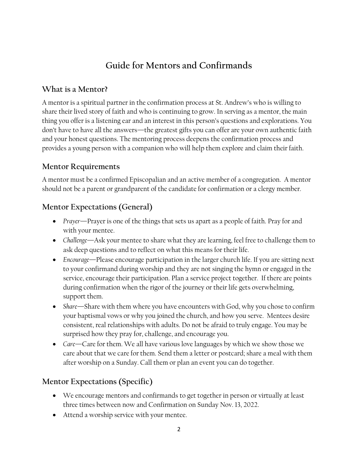# **Guide for Mentors and Confirmands**

#### **What is a Mentor?**

A mentor is a spiritual partner in the confirmation process at St. Andrew's who is willing to share their lived story of faith and who is continuing to grow. In serving as a mentor, the main thing you offer is a listening ear and an interest in this person's questions and explorations. You don't have to have all the answers—the greatest gifts you can offer are your own authentic faith and your honest questions. The mentoring process deepens the confirmation process and provides a young person with a companion who will help them explore and claim their faith.

### **Mentor Requirements**

A mentor must be a confirmed Episcopalian and an active member of a congregation. A mentor should not be a parent or grandparent of the candidate for confirmation or a clergy member.

## **Mentor Expectations (General)**

- *Prayer*—Prayer is one of the things that sets us apart as a people of faith. Pray for and with your mentee.
- *Challenge*—Ask your mentee to share what they are learning, feel free to challenge them to ask deep questions and to reflect on what this means for their life.
- *Encourage*—Please encourage participation in the larger church life. If you are sitting next to your confirmand during worship and they are not singing the hymn or engaged in the service, encourage their participation. Plan a service project together. If there are points during confirmation when the rigor of the journey or their life gets overwhelming, support them.
- Share—Share with them where you have encounters with God, why you chose to confirm your baptismal vows or why you joined the church, and how you serve. Mentees desire consistent, real relationships with adults. Do not be afraid to truly engage. You may be surprised how they pray for, challenge, and encourage you.
- *Care*—Care for them. We all have various love languages by which we show those we care about that we care for them. Send them a letter or postcard; share a meal with them after worship on a Sunday. Call them or plan an event you can do together.

## **Mentor Expectations (Specific)**

- We encourage mentors and confirmands to get together in person or virtually at least three times between now and Confirmation on Sunday Nov. 13, 2022.
- Attend a worship service with your mentee.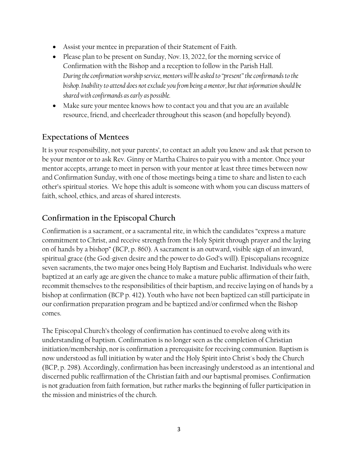- Assist your mentee in preparation of their Statement of Faith.
- Please plan to be present on Sunday, Nov. 13, 2022, for the morning service of Confirmation with the Bishop and a reception to follow in the Parish Hall. *During the confirmation worship service, mentors will be asked to "present" the confirmands to the bishop. Inability to attend does not exclude you from being a mentor, but that information should be shared with confirmands as early as possible.*
- Make sure your mentee knows how to contact you and that you are an available resource, friend, and cheerleader throughout this season (and hopefully beyond).

### **Expectations of Mentees**

It is your responsibility, not your parents', to contact an adult you know and ask that person to be your mentor or to ask Rev. Ginny or Martha Chaires to pair you with a mentor. Once your mentor accepts, arrange to meet in person with your mentor at least three times between now and Confirmation Sunday, with one of those meetings being a time to share and listen to each other's spiritual stories. We hope this adult is someone with whom you can discuss matters of faith, school, ethics, and areas of shared interests.

## **Confirmation in the Episcopal Church**

Confirmation is a sacrament, or a sacramental rite, in which the candidates "express a mature commitment to Christ, and receive strength from the Holy Spirit through prayer and the laying on of hands by a bishop" (BCP, p. 860). A sacrament is an outward, visible sign of an inward, spiritual grace (the God-given desire and the power to do God's will). Episcopalians recognize seven sacraments, the two major ones being Holy Baptism and Eucharist. Individuals who were baptized at an early age are given the chance to make a mature public affirmation of their faith, recommit themselves to the responsibilities of their baptism, and receive laying on of hands by a bishop at confirmation (BCP p. 412). Youth who have not been baptized can still participate in our confirmation preparation program and be baptized and/or confirmed when the Bishop comes.

The Episcopal Church's theology of confirmation has continued to evolve along with its understanding of baptism. Confirmation is no longer seen as the completion of Christian initiation/membership, nor is confirmation a prerequisite for receiving communion. Baptism is now understood as full initiation by water and the Holy Spirit into Christ's body the Church (BCP, p. 298). Accordingly, confirmation has been increasingly understood as an intentional and discerned public reaffirmation of the Christian faith and our baptismal promises. Confirmation is not graduation from faith formation, but rather marks the beginning of fuller participation in the mission and ministries of the church.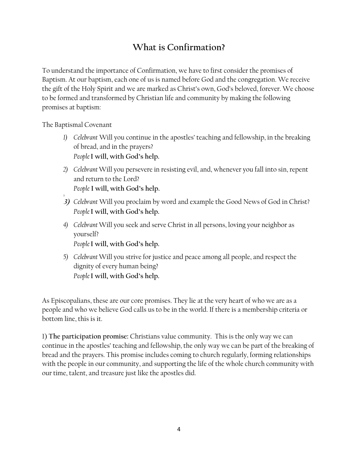# **What is Confirmation?**

To understand the importance of Confirmation, we have to first consider the promises of Baptism. At our baptism, each one of us is named before God and the congregation. We receive the gift of the Holy Spirit and we are marked as Christ's own, God's beloved, forever. We choose to be formed and transformed by Christian life and community by making the following promises at baptism:

The Baptismal Covenant

- *1) Celebrant* Will you continue in the apostles' teaching and fellowship, in the breaking of bread, and in the prayers? *People* **I will, with God's help.**
- *2) Celebrant* Will you persevere in resisting evil, and, whenever you fall into sin, repent and return to the Lord? *People* **I will, with God's help.**
- *2)* **3)** *Celebrant* Will you proclaim by word and example the Good News of God in Christ? *People* **I will, with God's help.**
- *4) Celebrant* Will you seek and serve Christ in all persons, loving your neighbor as yourself? *People* **I will, with God's help.**
- *5) Celebrant* Will you strive for justice and peace among all people, and respect the dignity of every human being? *People* **I will, with God's help.**

As Episcopalians, these are our core promises. They lie at the very heart of who we are as a people and who we believe God calls us to be in the world. If there is a membership criteria or bottom line, this is it.

1) **The participation promise:** Christians value community. This is the only way we can continue in the apostles' teaching and fellowship, the only way we can be part of the breaking of bread and the prayers. This promise includes coming to church regularly, forming relationships with the people in our community, and supporting the life of the whole church community with our time, talent, and treasure just like the apostles did.